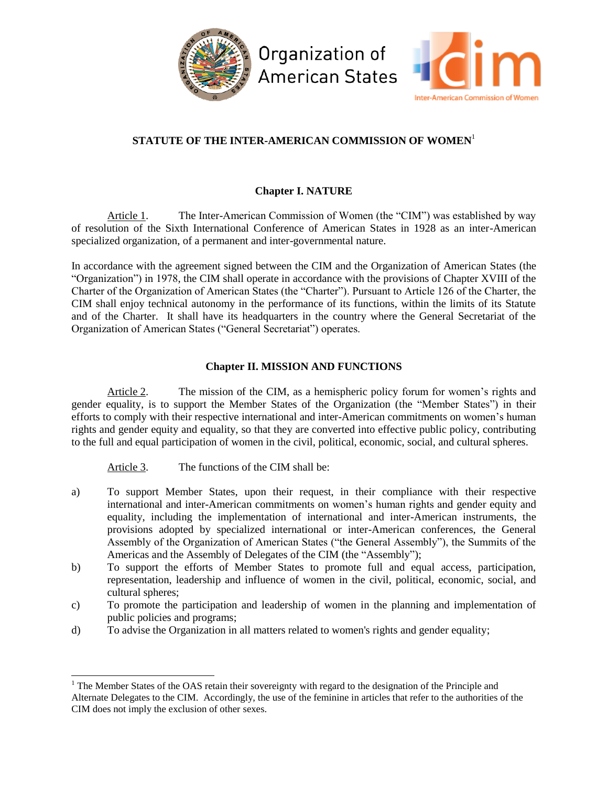

# **STATUTE OF THE INTER-AMERICAN COMMISSION OF WOMEN**<sup>1</sup>

# **Chapter I. NATURE**

Article 1. The Inter-American Commission of Women (the "CIM") was established by way of resolution of the Sixth International Conference of American States in 1928 as an inter-American specialized organization, of a permanent and inter-governmental nature.

In accordance with the agreement signed between the CIM and the Organization of American States (the "Organization") in 1978, the CIM shall operate in accordance with the provisions of Chapter XVIII of the Charter of the Organization of American States (the "Charter"). Pursuant to Article 126 of the Charter, the CIM shall enjoy technical autonomy in the performance of its functions, within the limits of its Statute and of the Charter. It shall have its headquarters in the country where the General Secretariat of the Organization of American States ("General Secretariat") operates.

# **Chapter II. MISSION AND FUNCTIONS**

Article 2. The mission of the CIM, as a hemispheric policy forum for women's rights and gender equality, is to support the Member States of the Organization (the "Member States") in their efforts to comply with their respective international and inter-American commitments on women's human rights and gender equity and equality, so that they are converted into effective public policy, contributing to the full and equal participation of women in the civil, political, economic, social, and cultural spheres.

Article 3. The functions of the CIM shall be:

l

- a) To support Member States, upon their request, in their compliance with their respective international and inter-American commitments on women's human rights and gender equity and equality, including the implementation of international and inter-American instruments, the provisions adopted by specialized international or inter-American conferences, the General Assembly of the Organization of American States ("the General Assembly"), the Summits of the Americas and the Assembly of Delegates of the CIM (the "Assembly");
- b) To support the efforts of Member States to promote full and equal access, participation, representation, leadership and influence of women in the civil, political, economic, social, and cultural spheres;
- c) To promote the participation and leadership of women in the planning and implementation of public policies and programs;
- d) To advise the Organization in all matters related to women's rights and gender equality;

<sup>&</sup>lt;sup>1</sup> The Member States of the OAS retain their sovereignty with regard to the designation of the Principle and Alternate Delegates to the CIM. Accordingly, the use of the feminine in articles that refer to the authorities of the CIM does not imply the exclusion of other sexes.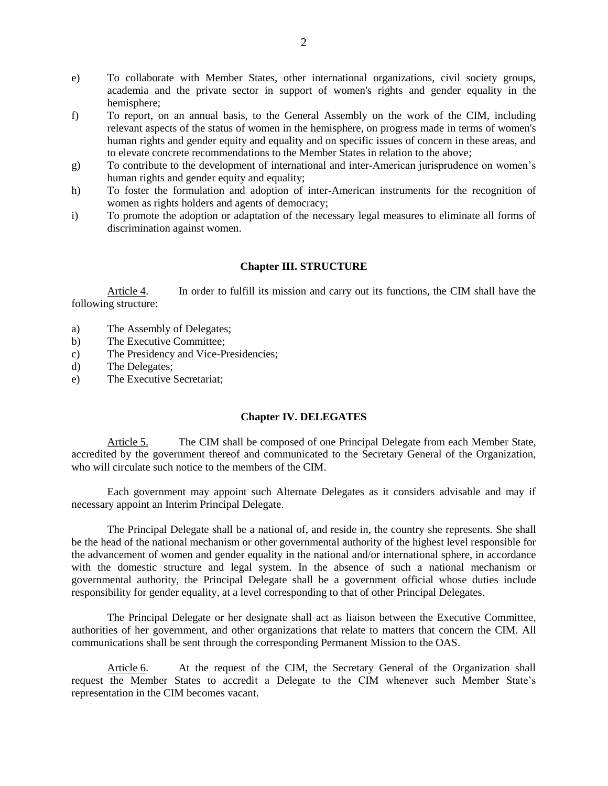- e) To collaborate with Member States, other international organizations, civil society groups, academia and the private sector in support of women's rights and gender equality in the hemisphere;
- f) To report, on an annual basis, to the General Assembly on the work of the CIM, including relevant aspects of the status of women in the hemisphere, on progress made in terms of women's human rights and gender equity and equality and on specific issues of concern in these areas, and to elevate concrete recommendations to the Member States in relation to the above;
- g) To contribute to the development of international and inter-American jurisprudence on women's human rights and gender equity and equality;
- h) To foster the formulation and adoption of inter-American instruments for the recognition of women as rights holders and agents of democracy;
- i) To promote the adoption or adaptation of the necessary legal measures to eliminate all forms of discrimination against women.

#### **Chapter III. STRUCTURE**

Article 4. In order to fulfill its mission and carry out its functions, the CIM shall have the following structure:

- a) The Assembly of Delegates;
- b) The Executive Committee;
- c) The Presidency and Vice-Presidencies;
- d) The Delegates;
- e) The Executive Secretariat;

#### **Chapter IV. DELEGATES**

Article 5. The CIM shall be composed of one Principal Delegate from each Member State, accredited by the government thereof and communicated to the Secretary General of the Organization, who will circulate such notice to the members of the CIM.

Each government may appoint such Alternate Delegates as it considers advisable and may if necessary appoint an Interim Principal Delegate.

The Principal Delegate shall be a national of, and reside in, the country she represents. She shall be the head of the national mechanism or other governmental authority of the highest level responsible for the advancement of women and gender equality in the national and/or international sphere, in accordance with the domestic structure and legal system. In the absence of such a national mechanism or governmental authority, the Principal Delegate shall be a government official whose duties include responsibility for gender equality, at a level corresponding to that of other Principal Delegates.

The Principal Delegate or her designate shall act as liaison between the Executive Committee, authorities of her government, and other organizations that relate to matters that concern the CIM. All communications shall be sent through the corresponding Permanent Mission to the OAS.

Article 6. At the request of the CIM, the Secretary General of the Organization shall request the Member States to accredit a Delegate to the CIM whenever such Member State's representation in the CIM becomes vacant.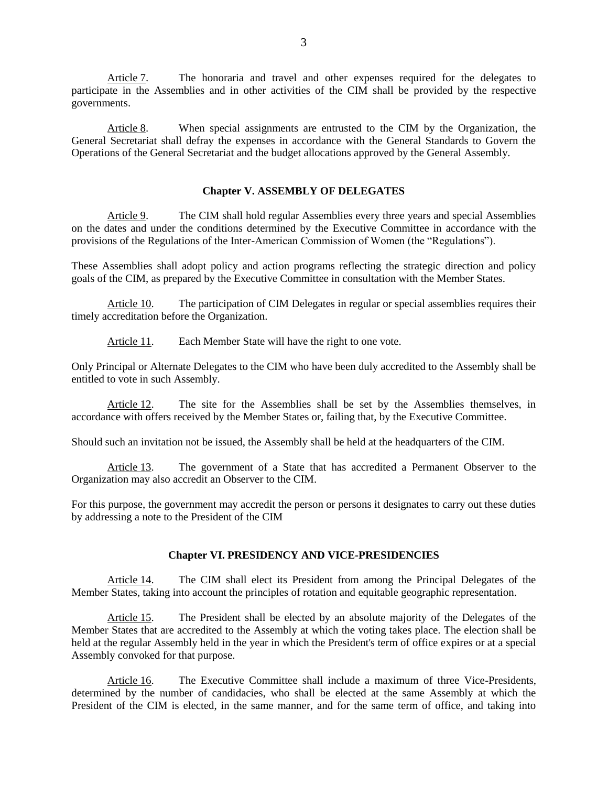Article 7. The honoraria and travel and other expenses required for the delegates to participate in the Assemblies and in other activities of the CIM shall be provided by the respective governments.

Article 8. When special assignments are entrusted to the CIM by the Organization, the General Secretariat shall defray the expenses in accordance with the General Standards to Govern the Operations of the General Secretariat and the budget allocations approved by the General Assembly.

## **Chapter V. ASSEMBLY OF DELEGATES**

Article 9. The CIM shall hold regular Assemblies every three years and special Assemblies on the dates and under the conditions determined by the Executive Committee in accordance with the provisions of the Regulations of the Inter-American Commission of Women (the "Regulations").

These Assemblies shall adopt policy and action programs reflecting the strategic direction and policy goals of the CIM, as prepared by the Executive Committee in consultation with the Member States.

Article 10. The participation of CIM Delegates in regular or special assemblies requires their timely accreditation before the Organization.

Article 11. Each Member State will have the right to one vote.

Only Principal or Alternate Delegates to the CIM who have been duly accredited to the Assembly shall be entitled to vote in such Assembly.

Article 12. The site for the Assemblies shall be set by the Assemblies themselves, in accordance with offers received by the Member States or, failing that, by the Executive Committee.

Should such an invitation not be issued, the Assembly shall be held at the headquarters of the CIM.

Article 13. The government of a State that has accredited a Permanent Observer to the Organization may also accredit an Observer to the CIM.

For this purpose, the government may accredit the person or persons it designates to carry out these duties by addressing a note to the President of the CIM

### **Chapter VI. PRESIDENCY AND VICE-PRESIDENCIES**

Article 14. The CIM shall elect its President from among the Principal Delegates of the Member States, taking into account the principles of rotation and equitable geographic representation.

Article 15. The President shall be elected by an absolute majority of the Delegates of the Member States that are accredited to the Assembly at which the voting takes place. The election shall be held at the regular Assembly held in the year in which the President's term of office expires or at a special Assembly convoked for that purpose.

Article 16. The Executive Committee shall include a maximum of three Vice-Presidents, determined by the number of candidacies, who shall be elected at the same Assembly at which the President of the CIM is elected, in the same manner, and for the same term of office, and taking into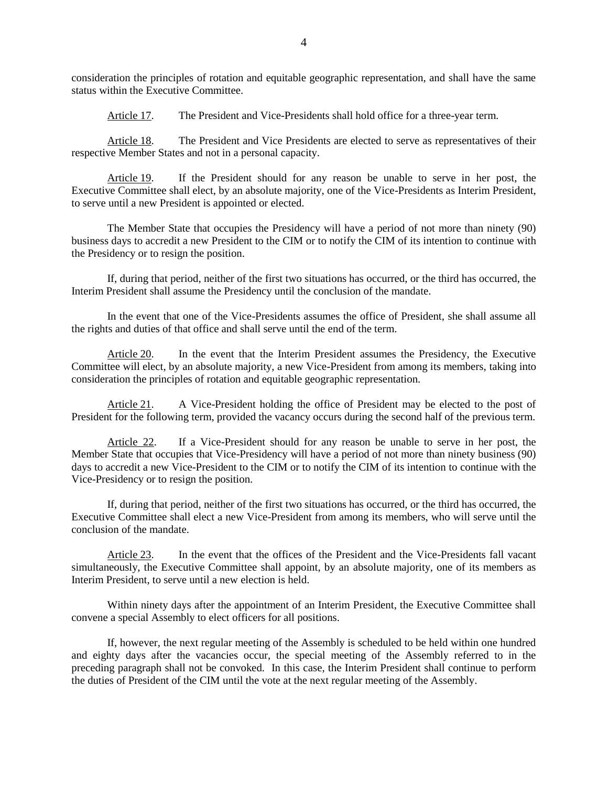consideration the principles of rotation and equitable geographic representation, and shall have the same status within the Executive Committee.

Article 17. The President and Vice-Presidents shall hold office for a three-year term.

Article 18. The President and Vice Presidents are elected to serve as representatives of their respective Member States and not in a personal capacity.

Article 19. If the President should for any reason be unable to serve in her post, the Executive Committee shall elect, by an absolute majority, one of the Vice-Presidents as Interim President, to serve until a new President is appointed or elected.

The Member State that occupies the Presidency will have a period of not more than ninety (90) business days to accredit a new President to the CIM or to notify the CIM of its intention to continue with the Presidency or to resign the position.

If, during that period, neither of the first two situations has occurred, or the third has occurred, the Interim President shall assume the Presidency until the conclusion of the mandate.

In the event that one of the Vice-Presidents assumes the office of President, she shall assume all the rights and duties of that office and shall serve until the end of the term.

Article 20. In the event that the Interim President assumes the Presidency, the Executive Committee will elect, by an absolute majority, a new Vice-President from among its members, taking into consideration the principles of rotation and equitable geographic representation.

Article 21. A Vice-President holding the office of President may be elected to the post of President for the following term, provided the vacancy occurs during the second half of the previous term.

Article 22. If a Vice-President should for any reason be unable to serve in her post, the Member State that occupies that Vice-Presidency will have a period of not more than ninety business (90) days to accredit a new Vice-President to the CIM or to notify the CIM of its intention to continue with the Vice-Presidency or to resign the position.

If, during that period, neither of the first two situations has occurred, or the third has occurred, the Executive Committee shall elect a new Vice-President from among its members, who will serve until the conclusion of the mandate.

Article 23. In the event that the offices of the President and the Vice-Presidents fall vacant simultaneously, the Executive Committee shall appoint, by an absolute majority, one of its members as Interim President, to serve until a new election is held.

Within ninety days after the appointment of an Interim President, the Executive Committee shall convene a special Assembly to elect officers for all positions.

If, however, the next regular meeting of the Assembly is scheduled to be held within one hundred and eighty days after the vacancies occur, the special meeting of the Assembly referred to in the preceding paragraph shall not be convoked. In this case, the Interim President shall continue to perform the duties of President of the CIM until the vote at the next regular meeting of the Assembly.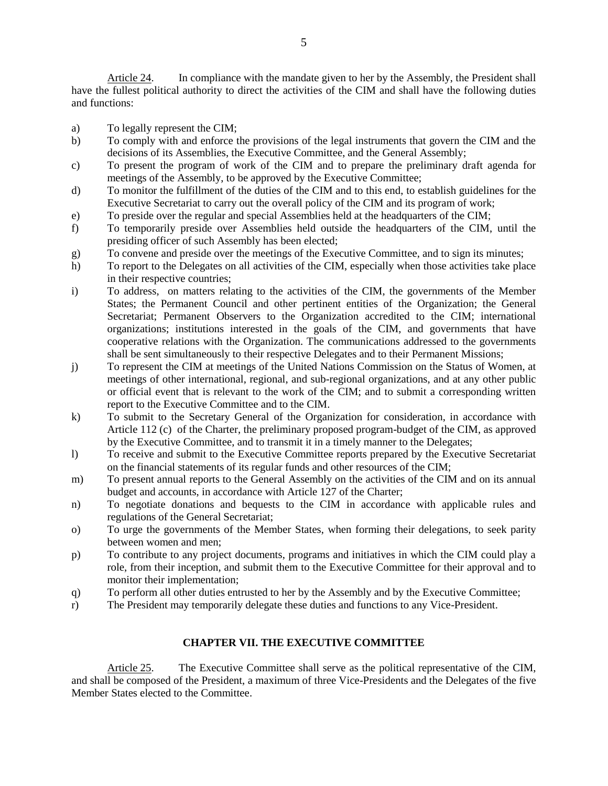Article 24. In compliance with the mandate given to her by the Assembly, the President shall have the fullest political authority to direct the activities of the CIM and shall have the following duties and functions:

- a) To legally represent the CIM;
- b) To comply with and enforce the provisions of the legal instruments that govern the CIM and the decisions of its Assemblies, the Executive Committee, and the General Assembly;
- c) To present the program of work of the CIM and to prepare the preliminary draft agenda for meetings of the Assembly, to be approved by the Executive Committee;
- d) To monitor the fulfillment of the duties of the CIM and to this end, to establish guidelines for the Executive Secretariat to carry out the overall policy of the CIM and its program of work;
- e) To preside over the regular and special Assemblies held at the headquarters of the CIM;
- f) To temporarily preside over Assemblies held outside the headquarters of the CIM, until the presiding officer of such Assembly has been elected;
- g) To convene and preside over the meetings of the Executive Committee, and to sign its minutes;
- h) To report to the Delegates on all activities of the CIM, especially when those activities take place in their respective countries;
- i) To address, on matters relating to the activities of the CIM, the governments of the Member States; the Permanent Council and other pertinent entities of the Organization; the General Secretariat; Permanent Observers to the Organization accredited to the CIM; international organizations; institutions interested in the goals of the CIM, and governments that have cooperative relations with the Organization. The communications addressed to the governments shall be sent simultaneously to their respective Delegates and to their Permanent Missions;
- j) To represent the CIM at meetings of the United Nations Commission on the Status of Women, at meetings of other international, regional, and sub-regional organizations, and at any other public or official event that is relevant to the work of the CIM; and to submit a corresponding written report to the Executive Committee and to the CIM.
- k) To submit to the Secretary General of the Organization for consideration, in accordance with Article 112 (c) of the Charter, the preliminary proposed program-budget of the CIM, as approved by the Executive Committee, and to transmit it in a timely manner to the Delegates;
- l) To receive and submit to the Executive Committee reports prepared by the Executive Secretariat on the financial statements of its regular funds and other resources of the CIM;
- m) To present annual reports to the General Assembly on the activities of the CIM and on its annual budget and accounts, in accordance with Article 127 of the Charter;
- n) To negotiate donations and bequests to the CIM in accordance with applicable rules and regulations of the General Secretariat;
- o) To urge the governments of the Member States, when forming their delegations, to seek parity between women and men;
- p) To contribute to any project documents, programs and initiatives in which the CIM could play a role, from their inception, and submit them to the Executive Committee for their approval and to monitor their implementation;
- q) To perform all other duties entrusted to her by the Assembly and by the Executive Committee;
- r) The President may temporarily delegate these duties and functions to any Vice-President.

## **CHAPTER VII. THE EXECUTIVE COMMITTEE**

Article 25. The Executive Committee shall serve as the political representative of the CIM, and shall be composed of the President, a maximum of three Vice-Presidents and the Delegates of the five Member States elected to the Committee.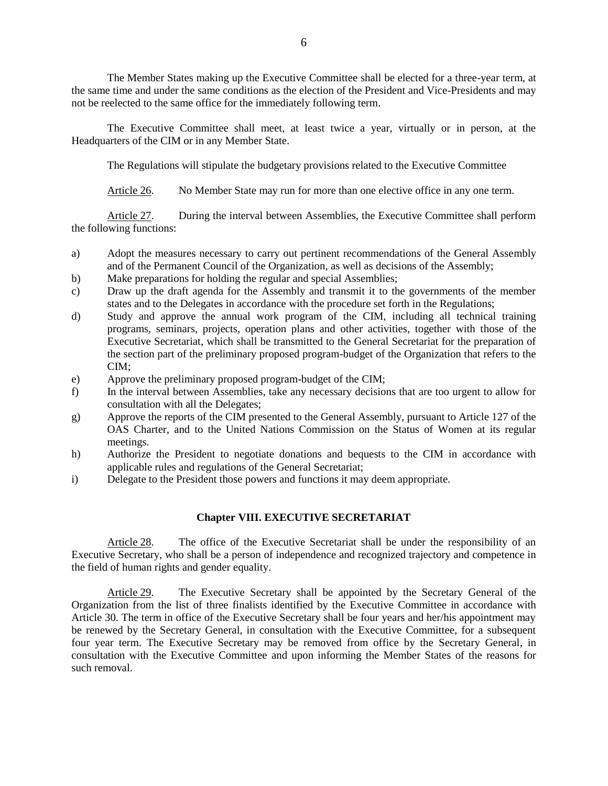The Member States making up the Executive Committee shall be elected for a three-year term, at the same time and under the same conditions as the election of the President and Vice-Presidents and may not be reelected to the same office for the immediately following term.

The Executive Committee shall meet, at least twice a year, virtually or in person, at the Headquarters of the CIM or in any Member State.

The Regulations will stipulate the budgetary provisions related to the Executive Committee

Article 26. No Member State may run for more than one elective office in any one term.

Article 27. During the interval between Assemblies, the Executive Committee shall perform the following functions:

- a) Adopt the measures necessary to carry out pertinent recommendations of the General Assembly and of the Permanent Council of the Organization, as well as decisions of the Assembly;
- b) Make preparations for holding the regular and special Assemblies;
- c) Draw up the draft agenda for the Assembly and transmit it to the governments of the member states and to the Delegates in accordance with the procedure set forth in the Regulations;
- d) Study and approve the annual work program of the CIM, including all technical training programs, seminars, projects, operation plans and other activities, together with those of the Executive Secretariat, which shall be transmitted to the General Secretariat for the preparation of the section part of the preliminary proposed program-budget of the Organization that refers to the CIM;
- e) Approve the preliminary proposed program-budget of the CIM;
- f) In the interval between Assemblies, take any necessary decisions that are too urgent to allow for consultation with all the Delegates;
- g) Approve the reports of the CIM presented to the General Assembly, pursuant to Article 127 of the OAS Charter, and to the United Nations Commission on the Status of Women at its regular meetings.
- h) Authorize the President to negotiate donations and bequests to the CIM in accordance with applicable rules and regulations of the General Secretariat;
- i) Delegate to the President those powers and functions it may deem appropriate.

## **Chapter VIII. EXECUTIVE SECRETARIAT**

Article 28. The office of the Executive Secretariat shall be under the responsibility of an Executive Secretary, who shall be a person of independence and recognized trajectory and competence in the field of human rights and gender equality.

Article 29. The Executive Secretary shall be appointed by the Secretary General of the Organization from the list of three finalists identified by the Executive Committee in accordance with Article 30. The term in office of the Executive Secretary shall be four years and her/his appointment may be renewed by the Secretary General, in consultation with the Executive Committee, for a subsequent four year term. The Executive Secretary may be removed from office by the Secretary General, in consultation with the Executive Committee and upon informing the Member States of the reasons for such removal.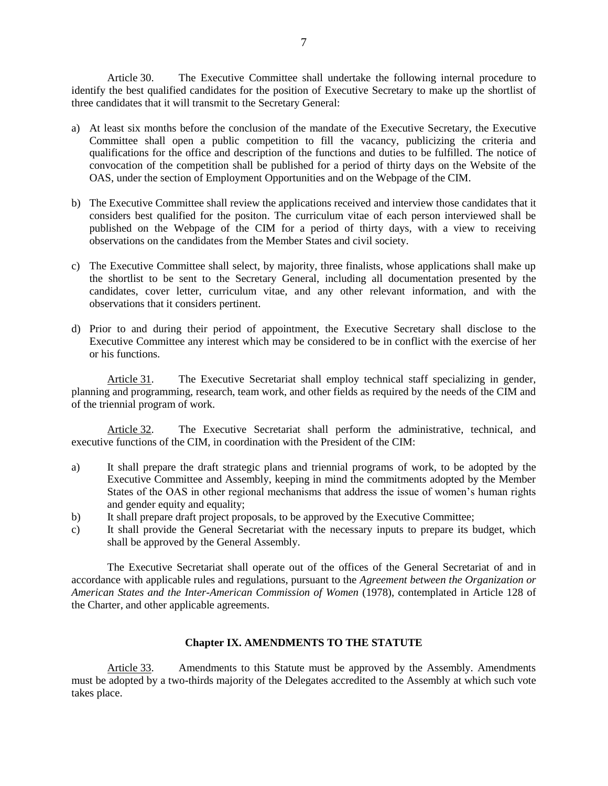Article 30. The Executive Committee shall undertake the following internal procedure to identify the best qualified candidates for the position of Executive Secretary to make up the shortlist of three candidates that it will transmit to the Secretary General:

- a) At least six months before the conclusion of the mandate of the Executive Secretary, the Executive Committee shall open a public competition to fill the vacancy, publicizing the criteria and qualifications for the office and description of the functions and duties to be fulfilled. The notice of convocation of the competition shall be published for a period of thirty days on the Website of the OAS, under the section of Employment Opportunities and on the Webpage of the CIM.
- b) The Executive Committee shall review the applications received and interview those candidates that it considers best qualified for the positon. The curriculum vitae of each person interviewed shall be published on the Webpage of the CIM for a period of thirty days, with a view to receiving observations on the candidates from the Member States and civil society.
- c) The Executive Committee shall select, by majority, three finalists, whose applications shall make up the shortlist to be sent to the Secretary General, including all documentation presented by the candidates, cover letter, curriculum vitae, and any other relevant information, and with the observations that it considers pertinent.
- d) Prior to and during their period of appointment, the Executive Secretary shall disclose to the Executive Committee any interest which may be considered to be in conflict with the exercise of her or his functions.

Article 31. The Executive Secretariat shall employ technical staff specializing in gender, planning and programming, research, team work, and other fields as required by the needs of the CIM and of the triennial program of work.

Article 32. The Executive Secretariat shall perform the administrative, technical, and executive functions of the CIM, in coordination with the President of the CIM:

- a) It shall prepare the draft strategic plans and triennial programs of work, to be adopted by the Executive Committee and Assembly, keeping in mind the commitments adopted by the Member States of the OAS in other regional mechanisms that address the issue of women's human rights and gender equity and equality;
- b) It shall prepare draft project proposals, to be approved by the Executive Committee;
- c) It shall provide the General Secretariat with the necessary inputs to prepare its budget, which shall be approved by the General Assembly.

The Executive Secretariat shall operate out of the offices of the General Secretariat of and in accordance with applicable rules and regulations, pursuant to the *Agreement between the Organization or American States and the Inter-American Commission of Women* (1978), contemplated in Article 128 of the Charter, and other applicable agreements.

### **Chapter IX. AMENDMENTS TO THE STATUTE**

Article 33. Amendments to this Statute must be approved by the Assembly. Amendments must be adopted by a two-thirds majority of the Delegates accredited to the Assembly at which such vote takes place.